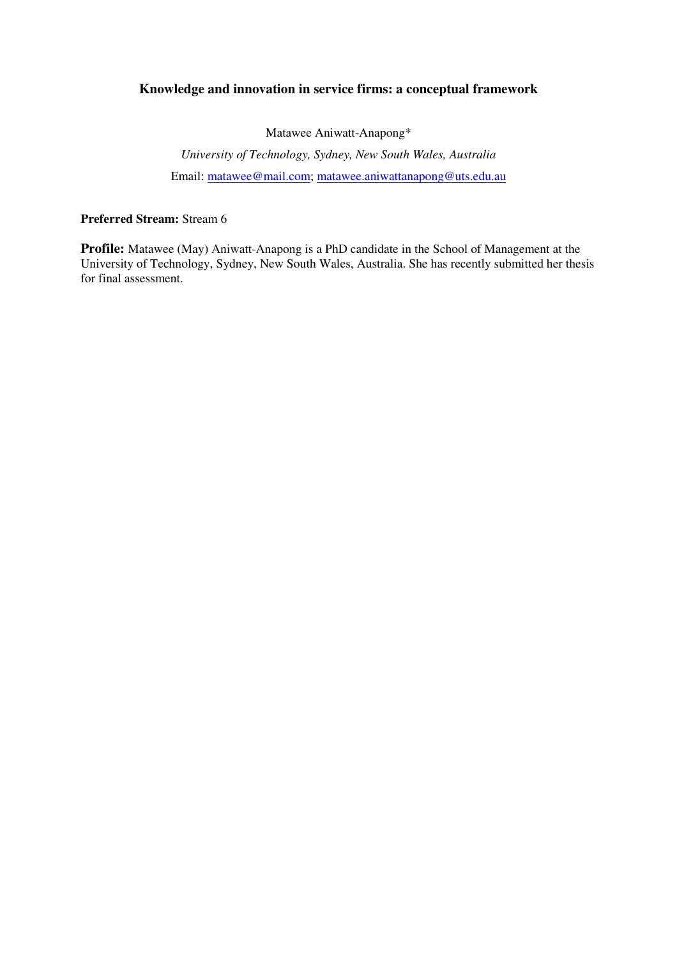# **Knowledge and innovation in service firms: a conceptual framework**

Matawee Aniwatt-Anapong\*

*University of Technology, Sydney, New South Wales, Australia*  Email: matawee@mail.com; matawee.aniwattanapong@uts.edu.au

# **Preferred Stream:** Stream 6

**Profile:** Matawee (May) Aniwatt-Anapong is a PhD candidate in the School of Management at the University of Technology, Sydney, New South Wales, Australia. She has recently submitted her thesis for final assessment.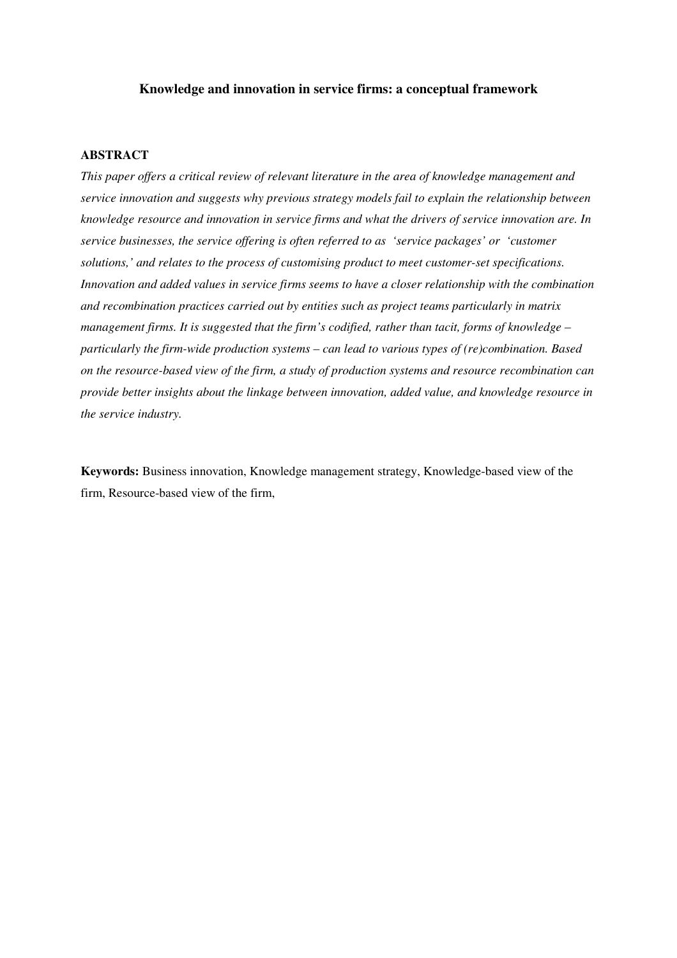# **Knowledge and innovation in service firms: a conceptual framework**

# **ABSTRACT**

*This paper offers a critical review of relevant literature in the area of knowledge management and service innovation and suggests why previous strategy models fail to explain the relationship between knowledge resource and innovation in service firms and what the drivers of service innovation are. In service businesses, the service offering is often referred to as 'service packages' or 'customer solutions,' and relates to the process of customising product to meet customer-set specifications. Innovation and added values in service firms seems to have a closer relationship with the combination and recombination practices carried out by entities such as project teams particularly in matrix management firms. It is suggested that the firm's codified, rather than tacit, forms of knowledge – particularly the firm-wide production systems – can lead to various types of (re)combination. Based on the resource-based view of the firm, a study of production systems and resource recombination can provide better insights about the linkage between innovation, added value, and knowledge resource in the service industry.* 

**Keywords:** Business innovation, Knowledge management strategy, Knowledge-based view of the firm, Resource-based view of the firm,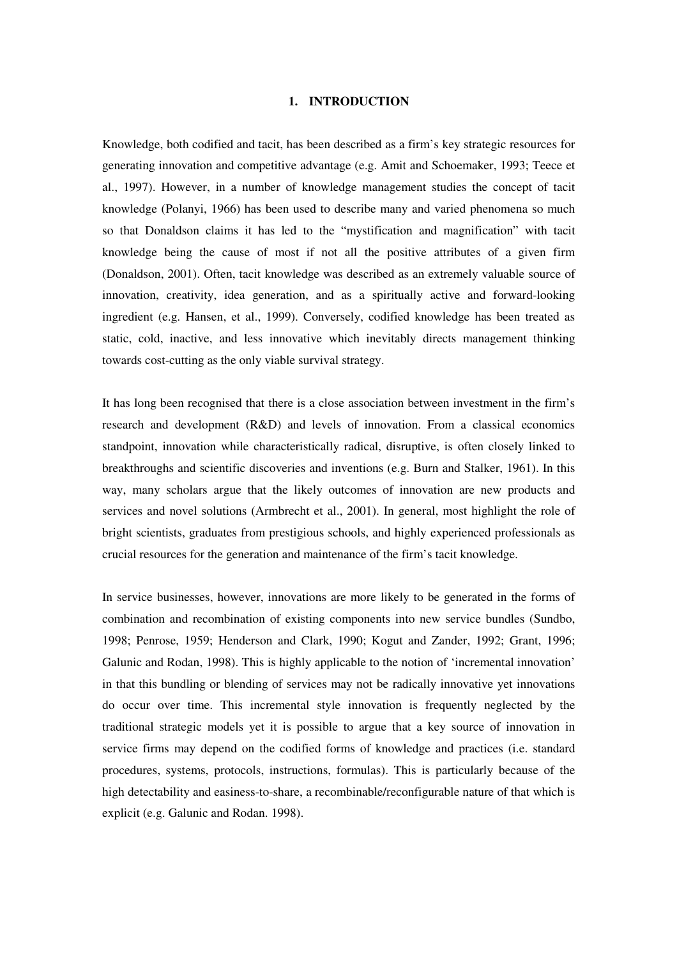# **1. INTRODUCTION**

Knowledge, both codified and tacit, has been described as a firm's key strategic resources for generating innovation and competitive advantage (e.g. Amit and Schoemaker, 1993; Teece et al., 1997). However, in a number of knowledge management studies the concept of tacit knowledge (Polanyi, 1966) has been used to describe many and varied phenomena so much so that Donaldson claims it has led to the "mystification and magnification" with tacit knowledge being the cause of most if not all the positive attributes of a given firm (Donaldson, 2001). Often, tacit knowledge was described as an extremely valuable source of innovation, creativity, idea generation, and as a spiritually active and forward-looking ingredient (e.g. Hansen, et al., 1999). Conversely, codified knowledge has been treated as static, cold, inactive, and less innovative which inevitably directs management thinking towards cost-cutting as the only viable survival strategy.

It has long been recognised that there is a close association between investment in the firm's research and development (R&D) and levels of innovation. From a classical economics standpoint, innovation while characteristically radical, disruptive, is often closely linked to breakthroughs and scientific discoveries and inventions (e.g. Burn and Stalker, 1961). In this way, many scholars argue that the likely outcomes of innovation are new products and services and novel solutions (Armbrecht et al., 2001). In general, most highlight the role of bright scientists, graduates from prestigious schools, and highly experienced professionals as crucial resources for the generation and maintenance of the firm's tacit knowledge.

In service businesses, however, innovations are more likely to be generated in the forms of combination and recombination of existing components into new service bundles (Sundbo, 1998; Penrose, 1959; Henderson and Clark, 1990; Kogut and Zander, 1992; Grant, 1996; Galunic and Rodan, 1998). This is highly applicable to the notion of 'incremental innovation' in that this bundling or blending of services may not be radically innovative yet innovations do occur over time. This incremental style innovation is frequently neglected by the traditional strategic models yet it is possible to argue that a key source of innovation in service firms may depend on the codified forms of knowledge and practices (i.e. standard procedures, systems, protocols, instructions, formulas). This is particularly because of the high detectability and easiness-to-share, a recombinable/reconfigurable nature of that which is explicit (e.g. Galunic and Rodan. 1998).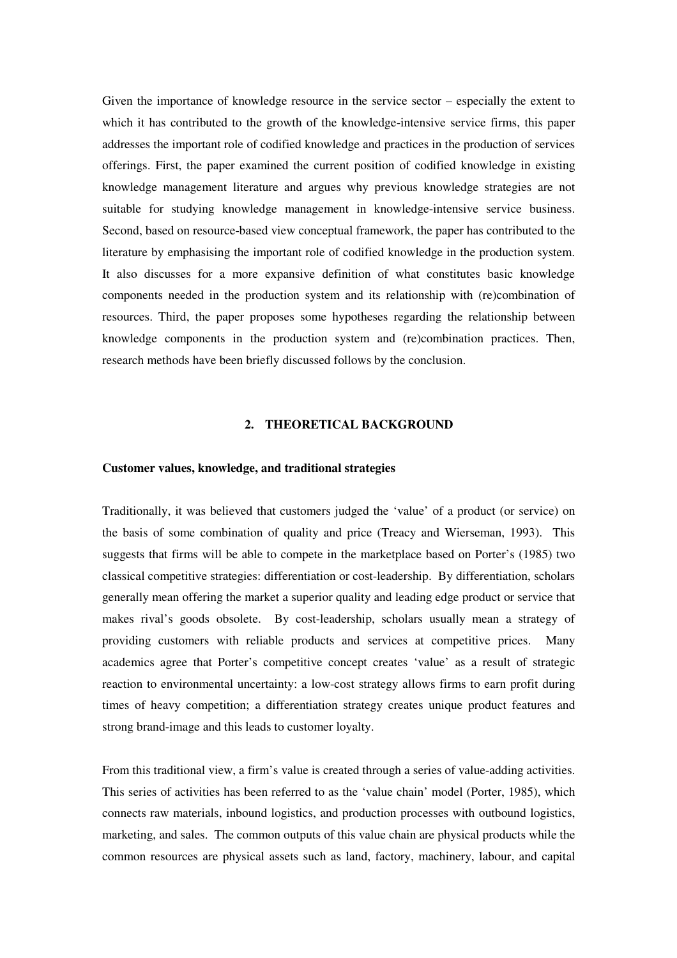Given the importance of knowledge resource in the service sector – especially the extent to which it has contributed to the growth of the knowledge-intensive service firms, this paper addresses the important role of codified knowledge and practices in the production of services offerings. First, the paper examined the current position of codified knowledge in existing knowledge management literature and argues why previous knowledge strategies are not suitable for studying knowledge management in knowledge-intensive service business. Second, based on resource-based view conceptual framework, the paper has contributed to the literature by emphasising the important role of codified knowledge in the production system. It also discusses for a more expansive definition of what constitutes basic knowledge components needed in the production system and its relationship with (re)combination of resources. Third, the paper proposes some hypotheses regarding the relationship between knowledge components in the production system and (re)combination practices. Then, research methods have been briefly discussed follows by the conclusion.

#### **2. THEORETICAL BACKGROUND**

# **Customer values, knowledge, and traditional strategies**

Traditionally, it was believed that customers judged the 'value' of a product (or service) on the basis of some combination of quality and price (Treacy and Wierseman, 1993). This suggests that firms will be able to compete in the marketplace based on Porter's (1985) two classical competitive strategies: differentiation or cost-leadership. By differentiation, scholars generally mean offering the market a superior quality and leading edge product or service that makes rival's goods obsolete. By cost-leadership, scholars usually mean a strategy of providing customers with reliable products and services at competitive prices. Many academics agree that Porter's competitive concept creates 'value' as a result of strategic reaction to environmental uncertainty: a low-cost strategy allows firms to earn profit during times of heavy competition; a differentiation strategy creates unique product features and strong brand-image and this leads to customer loyalty.

From this traditional view, a firm's value is created through a series of value-adding activities. This series of activities has been referred to as the 'value chain' model (Porter, 1985), which connects raw materials, inbound logistics, and production processes with outbound logistics, marketing, and sales. The common outputs of this value chain are physical products while the common resources are physical assets such as land, factory, machinery, labour, and capital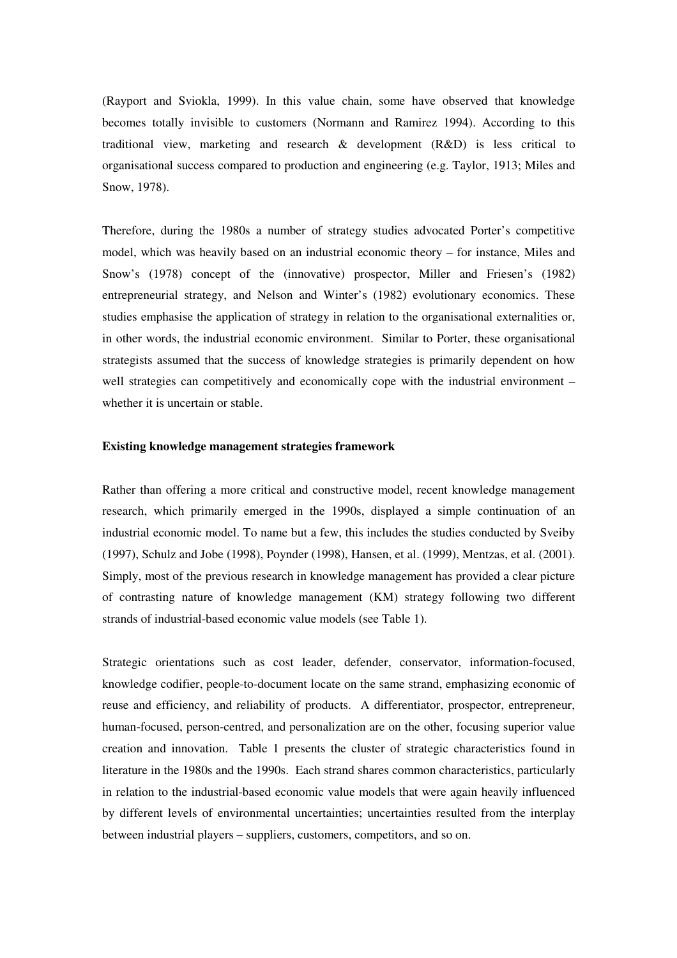(Rayport and Sviokla, 1999). In this value chain, some have observed that knowledge becomes totally invisible to customers (Normann and Ramirez 1994). According to this traditional view, marketing and research  $\&$  development (R&D) is less critical to organisational success compared to production and engineering (e.g. Taylor, 1913; Miles and Snow, 1978).

Therefore, during the 1980s a number of strategy studies advocated Porter's competitive model, which was heavily based on an industrial economic theory – for instance, Miles and Snow's (1978) concept of the (innovative) prospector, Miller and Friesen's (1982) entrepreneurial strategy, and Nelson and Winter's (1982) evolutionary economics. These studies emphasise the application of strategy in relation to the organisational externalities or, in other words, the industrial economic environment. Similar to Porter, these organisational strategists assumed that the success of knowledge strategies is primarily dependent on how well strategies can competitively and economically cope with the industrial environment – whether it is uncertain or stable.

#### **Existing knowledge management strategies framework**

Rather than offering a more critical and constructive model, recent knowledge management research, which primarily emerged in the 1990s, displayed a simple continuation of an industrial economic model. To name but a few, this includes the studies conducted by Sveiby (1997), Schulz and Jobe (1998), Poynder (1998), Hansen, et al. (1999), Mentzas, et al. (2001). Simply, most of the previous research in knowledge management has provided a clear picture of contrasting nature of knowledge management (KM) strategy following two different strands of industrial-based economic value models (see Table 1).

Strategic orientations such as cost leader, defender, conservator, information-focused, knowledge codifier, people-to-document locate on the same strand, emphasizing economic of reuse and efficiency, and reliability of products. A differentiator, prospector, entrepreneur, human-focused, person-centred, and personalization are on the other, focusing superior value creation and innovation. Table 1 presents the cluster of strategic characteristics found in literature in the 1980s and the 1990s. Each strand shares common characteristics, particularly in relation to the industrial-based economic value models that were again heavily influenced by different levels of environmental uncertainties; uncertainties resulted from the interplay between industrial players – suppliers, customers, competitors, and so on.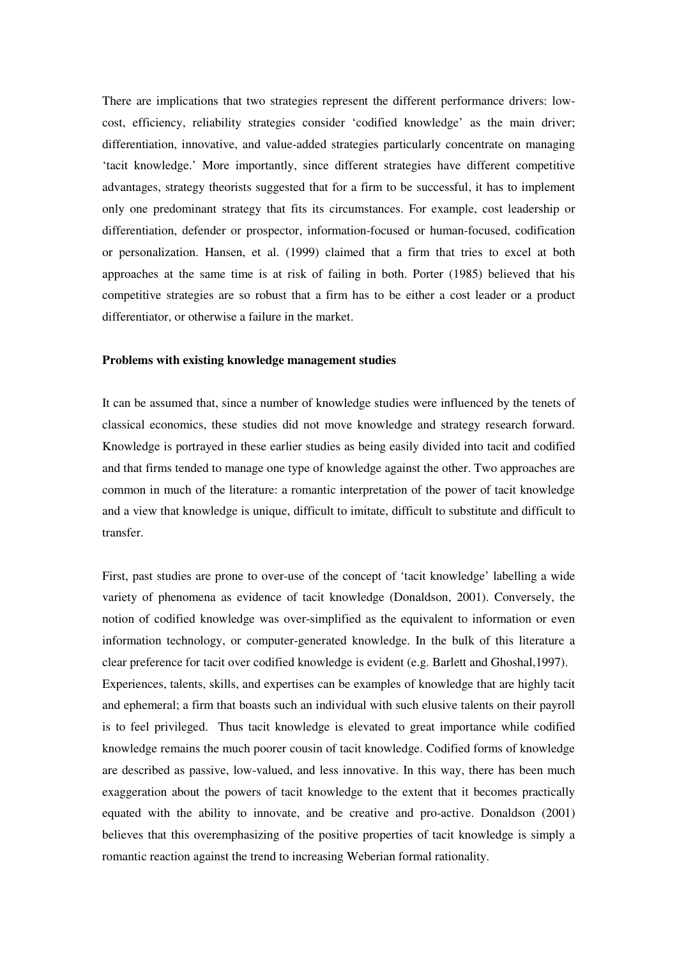There are implications that two strategies represent the different performance drivers: lowcost, efficiency, reliability strategies consider 'codified knowledge' as the main driver; differentiation, innovative, and value-added strategies particularly concentrate on managing 'tacit knowledge.' More importantly, since different strategies have different competitive advantages, strategy theorists suggested that for a firm to be successful, it has to implement only one predominant strategy that fits its circumstances. For example, cost leadership or differentiation, defender or prospector, information-focused or human-focused, codification or personalization. Hansen, et al. (1999) claimed that a firm that tries to excel at both approaches at the same time is at risk of failing in both. Porter (1985) believed that his competitive strategies are so robust that a firm has to be either a cost leader or a product differentiator, or otherwise a failure in the market.

#### **Problems with existing knowledge management studies**

It can be assumed that, since a number of knowledge studies were influenced by the tenets of classical economics, these studies did not move knowledge and strategy research forward. Knowledge is portrayed in these earlier studies as being easily divided into tacit and codified and that firms tended to manage one type of knowledge against the other. Two approaches are common in much of the literature: a romantic interpretation of the power of tacit knowledge and a view that knowledge is unique, difficult to imitate, difficult to substitute and difficult to transfer.

First, past studies are prone to over-use of the concept of 'tacit knowledge' labelling a wide variety of phenomena as evidence of tacit knowledge (Donaldson, 2001). Conversely, the notion of codified knowledge was over-simplified as the equivalent to information or even information technology, or computer-generated knowledge. In the bulk of this literature a clear preference for tacit over codified knowledge is evident (e.g. Barlett and Ghoshal,1997). Experiences, talents, skills, and expertises can be examples of knowledge that are highly tacit and ephemeral; a firm that boasts such an individual with such elusive talents on their payroll is to feel privileged. Thus tacit knowledge is elevated to great importance while codified knowledge remains the much poorer cousin of tacit knowledge. Codified forms of knowledge are described as passive, low-valued, and less innovative. In this way, there has been much exaggeration about the powers of tacit knowledge to the extent that it becomes practically equated with the ability to innovate, and be creative and pro-active. Donaldson (2001) believes that this overemphasizing of the positive properties of tacit knowledge is simply a romantic reaction against the trend to increasing Weberian formal rationality.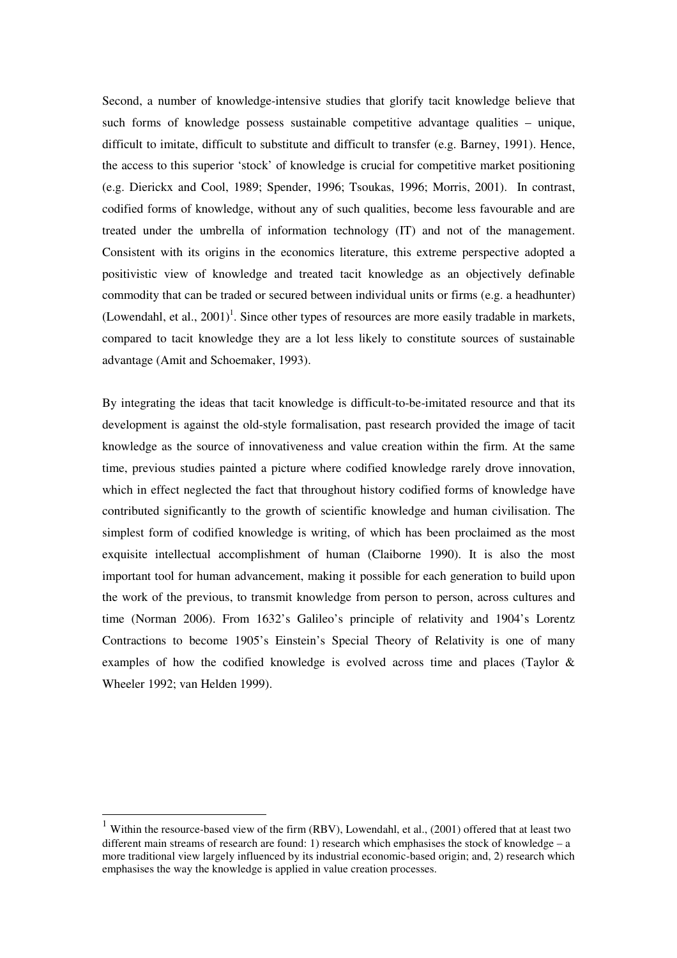Second, a number of knowledge-intensive studies that glorify tacit knowledge believe that such forms of knowledge possess sustainable competitive advantage qualities – unique, difficult to imitate, difficult to substitute and difficult to transfer (e.g. Barney, 1991). Hence, the access to this superior 'stock' of knowledge is crucial for competitive market positioning (e.g. Dierickx and Cool, 1989; Spender, 1996; Tsoukas, 1996; Morris, 2001). In contrast, codified forms of knowledge, without any of such qualities, become less favourable and are treated under the umbrella of information technology (IT) and not of the management. Consistent with its origins in the economics literature, this extreme perspective adopted a positivistic view of knowledge and treated tacit knowledge as an objectively definable commodity that can be traded or secured between individual units or firms (e.g. a headhunter) (Lowendahl, et al.,  $2001$ )<sup>1</sup>. Since other types of resources are more easily tradable in markets, compared to tacit knowledge they are a lot less likely to constitute sources of sustainable advantage (Amit and Schoemaker, 1993).

By integrating the ideas that tacit knowledge is difficult-to-be-imitated resource and that its development is against the old-style formalisation, past research provided the image of tacit knowledge as the source of innovativeness and value creation within the firm. At the same time, previous studies painted a picture where codified knowledge rarely drove innovation, which in effect neglected the fact that throughout history codified forms of knowledge have contributed significantly to the growth of scientific knowledge and human civilisation. The simplest form of codified knowledge is writing, of which has been proclaimed as the most exquisite intellectual accomplishment of human (Claiborne 1990). It is also the most important tool for human advancement, making it possible for each generation to build upon the work of the previous, to transmit knowledge from person to person, across cultures and time (Norman 2006). From 1632's Galileo's principle of relativity and 1904's Lorentz Contractions to become 1905's Einstein's Special Theory of Relativity is one of many examples of how the codified knowledge is evolved across time and places (Taylor & Wheeler 1992; van Helden 1999).

 $\overline{a}$ 

<sup>&</sup>lt;sup>1</sup> Within the resource-based view of the firm (RBV), Lowendahl, et al., (2001) offered that at least two different main streams of research are found: 1) research which emphasises the stock of knowledge – a more traditional view largely influenced by its industrial economic-based origin; and, 2) research which emphasises the way the knowledge is applied in value creation processes.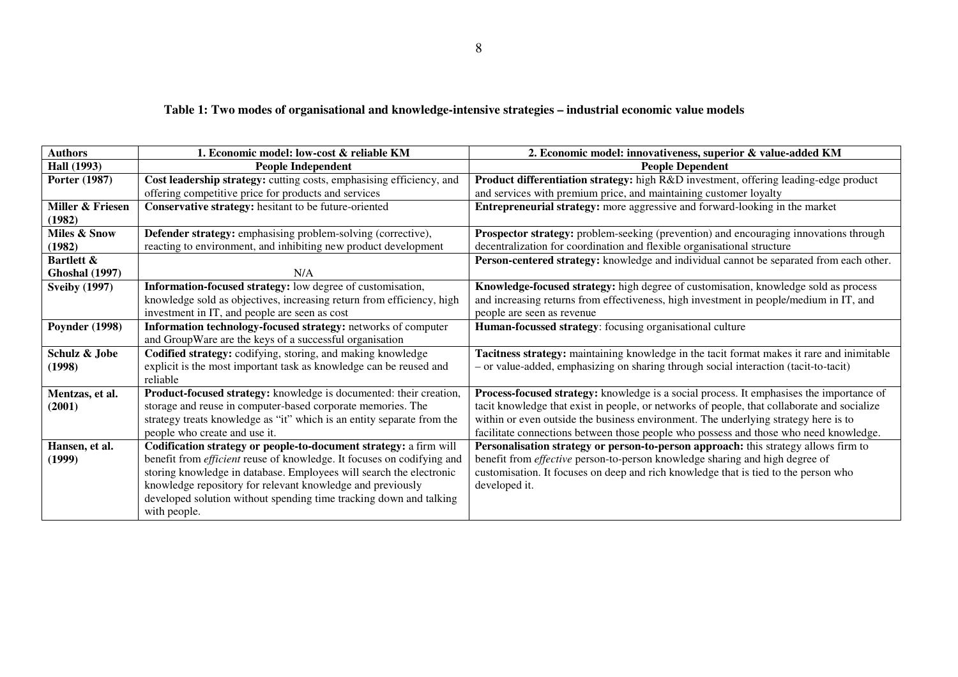| <b>Authors</b>          | 1. Economic model: low-cost & reliable KM                                     | 2. Economic model: innovativeness, superior & value-added KM                                 |
|-------------------------|-------------------------------------------------------------------------------|----------------------------------------------------------------------------------------------|
| <b>Hall</b> (1993)      | <b>People Independent</b>                                                     | <b>People Dependent</b>                                                                      |
| Porter (1987)           | Cost leadership strategy: cutting costs, emphasising efficiency, and          | Product differentiation strategy: high R&D investment, offering leading-edge product         |
|                         | offering competitive price for products and services                          | and services with premium price, and maintaining customer loyalty                            |
| Miller & Friesen        | Conservative strategy: hesitant to be future-oriented                         | Entrepreneurial strategy: more aggressive and forward-looking in the market                  |
| (1982)                  |                                                                               |                                                                                              |
| <b>Miles &amp; Snow</b> | Defender strategy: emphasising problem-solving (corrective),                  | <b>Prospector strategy:</b> problem-seeking (prevention) and encouraging innovations through |
| (1982)                  | reacting to environment, and inhibiting new product development               | decentralization for coordination and flexible organisational structure                      |
| Bartlett &              |                                                                               | Person-centered strategy: knowledge and individual cannot be separated from each other.      |
| <b>Ghoshal</b> (1997)   | N/A                                                                           |                                                                                              |
| <b>Sveiby (1997)</b>    | Information-focused strategy: low degree of customisation,                    | Knowledge-focused strategy: high degree of customisation, knowledge sold as process          |
|                         | knowledge sold as objectives, increasing return from efficiency, high         | and increasing returns from effectiveness, high investment in people/medium in IT, and       |
|                         | investment in IT, and people are seen as cost                                 | people are seen as revenue                                                                   |
| <b>Poynder (1998)</b>   | Information technology-focused strategy: networks of computer                 | Human-focussed strategy: focusing organisational culture                                     |
|                         | and GroupWare are the keys of a successful organisation                       |                                                                                              |
| Schulz & Jobe           | Codified strategy: codifying, storing, and making knowledge                   | Tacitness strategy: maintaining knowledge in the tacit format makes it rare and inimitable   |
| (1998)                  | explicit is the most important task as knowledge can be reused and            | - or value-added, emphasizing on sharing through social interaction (tacit-to-tacit)         |
|                         | reliable                                                                      |                                                                                              |
| Mentzas, et al.         | Product-focused strategy: knowledge is documented: their creation,            | Process-focused strategy: knowledge is a social process. It emphasises the importance of     |
| (2001)                  | storage and reuse in computer-based corporate memories. The                   | tacit knowledge that exist in people, or networks of people, that collaborate and socialize  |
|                         | strategy treats knowledge as "it" which is an entity separate from the        | within or even outside the business environment. The underlying strategy here is to          |
|                         | people who create and use it.                                                 | facilitate connections between those people who possess and those who need knowledge.        |
| Hansen, et al.          | Codification strategy or people-to-document strategy: a firm will             | Personalisation strategy or person-to-person approach: this strategy allows firm to          |
| (1999)                  | benefit from <i>efficient</i> reuse of knowledge. It focuses on codifying and | benefit from <i>effective</i> person-to-person knowledge sharing and high degree of          |
|                         | storing knowledge in database. Employees will search the electronic           | customisation. It focuses on deep and rich knowledge that is tied to the person who          |
|                         | knowledge repository for relevant knowledge and previously                    | developed it.                                                                                |
|                         | developed solution without spending time tracking down and talking            |                                                                                              |
|                         | with people.                                                                  |                                                                                              |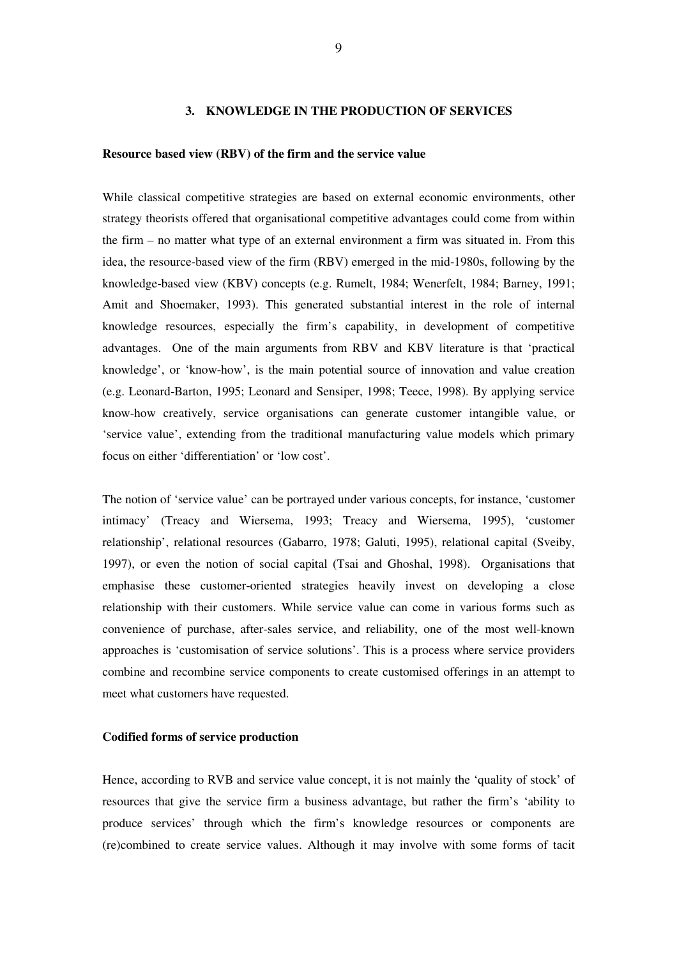# **3. KNOWLEDGE IN THE PRODUCTION OF SERVICES**

#### **Resource based view (RBV) of the firm and the service value**

While classical competitive strategies are based on external economic environments, other strategy theorists offered that organisational competitive advantages could come from within the firm – no matter what type of an external environment a firm was situated in. From this idea, the resource-based view of the firm (RBV) emerged in the mid-1980s, following by the knowledge-based view (KBV) concepts (e.g. Rumelt, 1984; Wenerfelt, 1984; Barney, 1991; Amit and Shoemaker, 1993). This generated substantial interest in the role of internal knowledge resources, especially the firm's capability, in development of competitive advantages. One of the main arguments from RBV and KBV literature is that 'practical knowledge', or 'know-how', is the main potential source of innovation and value creation (e.g. Leonard-Barton, 1995; Leonard and Sensiper, 1998; Teece, 1998). By applying service know-how creatively, service organisations can generate customer intangible value, or 'service value', extending from the traditional manufacturing value models which primary focus on either 'differentiation' or 'low cost'.

The notion of 'service value' can be portrayed under various concepts, for instance, 'customer intimacy' (Treacy and Wiersema, 1993; Treacy and Wiersema, 1995), 'customer relationship', relational resources (Gabarro, 1978; Galuti, 1995), relational capital (Sveiby, 1997), or even the notion of social capital (Tsai and Ghoshal, 1998). Organisations that emphasise these customer-oriented strategies heavily invest on developing a close relationship with their customers. While service value can come in various forms such as convenience of purchase, after-sales service, and reliability, one of the most well-known approaches is 'customisation of service solutions'. This is a process where service providers combine and recombine service components to create customised offerings in an attempt to meet what customers have requested.

#### **Codified forms of service production**

Hence, according to RVB and service value concept, it is not mainly the 'quality of stock' of resources that give the service firm a business advantage, but rather the firm's 'ability to produce services' through which the firm's knowledge resources or components are (re)combined to create service values. Although it may involve with some forms of tacit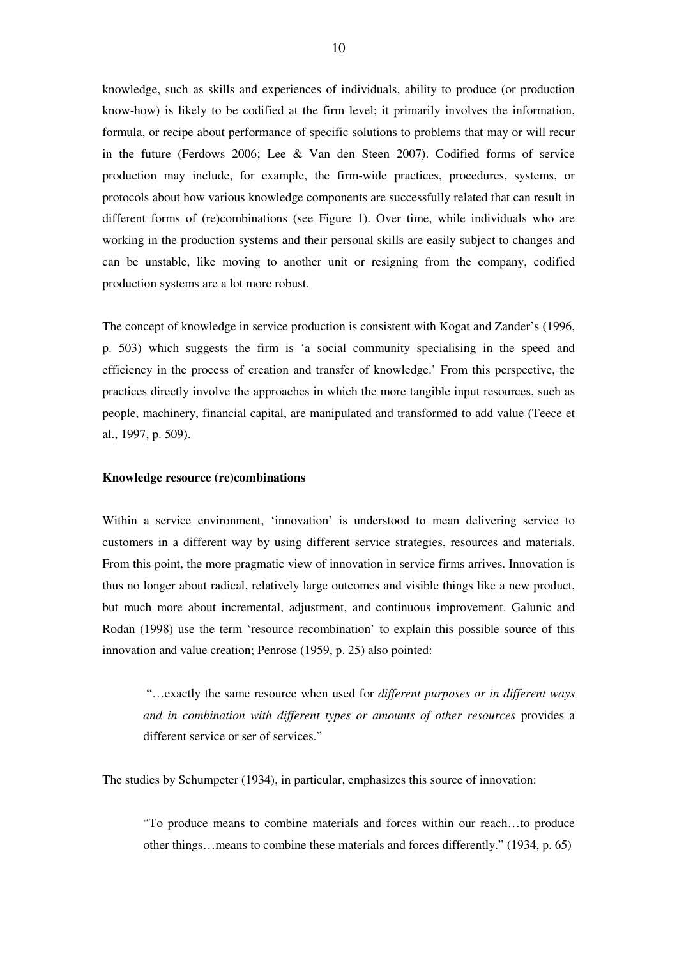knowledge, such as skills and experiences of individuals, ability to produce (or production know-how) is likely to be codified at the firm level; it primarily involves the information, formula, or recipe about performance of specific solutions to problems that may or will recur in the future (Ferdows 2006; Lee & Van den Steen 2007). Codified forms of service production may include, for example, the firm-wide practices, procedures, systems, or protocols about how various knowledge components are successfully related that can result in different forms of (re)combinations (see Figure 1). Over time, while individuals who are working in the production systems and their personal skills are easily subject to changes and can be unstable, like moving to another unit or resigning from the company, codified production systems are a lot more robust.

The concept of knowledge in service production is consistent with Kogat and Zander's (1996, p. 503) which suggests the firm is 'a social community specialising in the speed and efficiency in the process of creation and transfer of knowledge.' From this perspective, the practices directly involve the approaches in which the more tangible input resources, such as people, machinery, financial capital, are manipulated and transformed to add value (Teece et al., 1997, p. 509).

# **Knowledge resource (re)combinations**

Within a service environment, 'innovation' is understood to mean delivering service to customers in a different way by using different service strategies, resources and materials. From this point, the more pragmatic view of innovation in service firms arrives. Innovation is thus no longer about radical, relatively large outcomes and visible things like a new product, but much more about incremental, adjustment, and continuous improvement. Galunic and Rodan (1998) use the term 'resource recombination' to explain this possible source of this innovation and value creation; Penrose (1959, p. 25) also pointed:

 "…exactly the same resource when used for *different purposes or in different ways and in combination with different types or amounts of other resources* provides a different service or ser of services."

The studies by Schumpeter (1934), in particular, emphasizes this source of innovation:

"To produce means to combine materials and forces within our reach…to produce other things…means to combine these materials and forces differently." (1934, p. 65)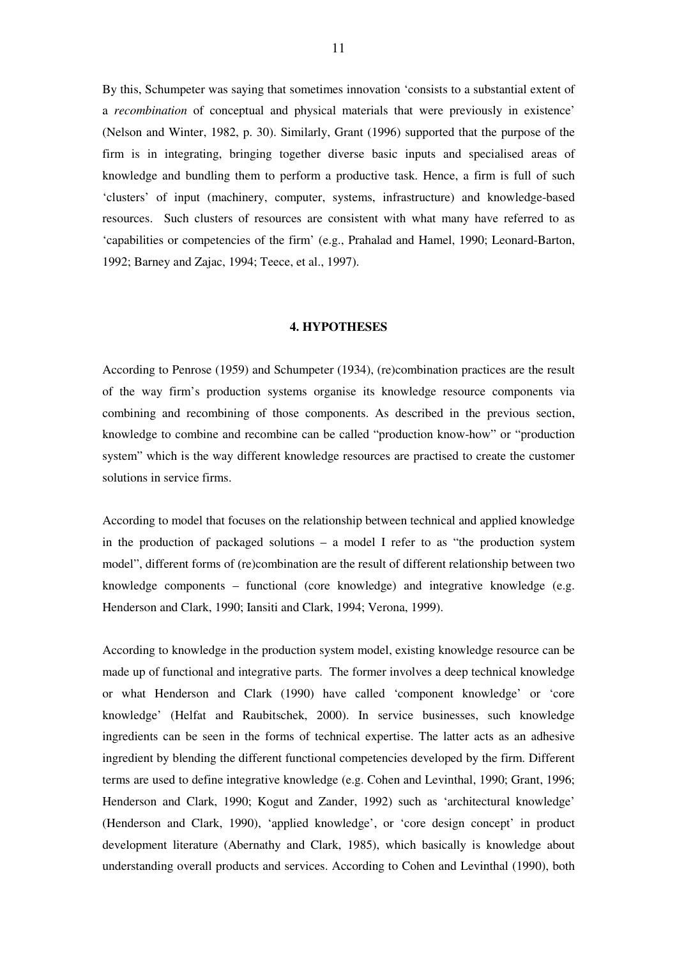By this, Schumpeter was saying that sometimes innovation 'consists to a substantial extent of a *recombination* of conceptual and physical materials that were previously in existence' (Nelson and Winter, 1982, p. 30). Similarly, Grant (1996) supported that the purpose of the firm is in integrating, bringing together diverse basic inputs and specialised areas of knowledge and bundling them to perform a productive task. Hence, a firm is full of such 'clusters' of input (machinery, computer, systems, infrastructure) and knowledge-based resources. Such clusters of resources are consistent with what many have referred to as 'capabilities or competencies of the firm' (e.g., Prahalad and Hamel, 1990; Leonard-Barton, 1992; Barney and Zajac, 1994; Teece, et al., 1997).

#### **4. HYPOTHESES**

According to Penrose (1959) and Schumpeter (1934), (re)combination practices are the result of the way firm's production systems organise its knowledge resource components via combining and recombining of those components. As described in the previous section, knowledge to combine and recombine can be called "production know-how" or "production system" which is the way different knowledge resources are practised to create the customer solutions in service firms.

According to model that focuses on the relationship between technical and applied knowledge in the production of packaged solutions – a model I refer to as "the production system model", different forms of (re)combination are the result of different relationship between two knowledge components – functional (core knowledge) and integrative knowledge (e.g. Henderson and Clark, 1990; Iansiti and Clark, 1994; Verona, 1999).

According to knowledge in the production system model, existing knowledge resource can be made up of functional and integrative parts. The former involves a deep technical knowledge or what Henderson and Clark (1990) have called 'component knowledge' or 'core knowledge' (Helfat and Raubitschek, 2000). In service businesses, such knowledge ingredients can be seen in the forms of technical expertise. The latter acts as an adhesive ingredient by blending the different functional competencies developed by the firm. Different terms are used to define integrative knowledge (e.g. Cohen and Levinthal, 1990; Grant, 1996; Henderson and Clark, 1990; Kogut and Zander, 1992) such as 'architectural knowledge' (Henderson and Clark, 1990), 'applied knowledge', or 'core design concept' in product development literature (Abernathy and Clark, 1985), which basically is knowledge about understanding overall products and services. According to Cohen and Levinthal (1990), both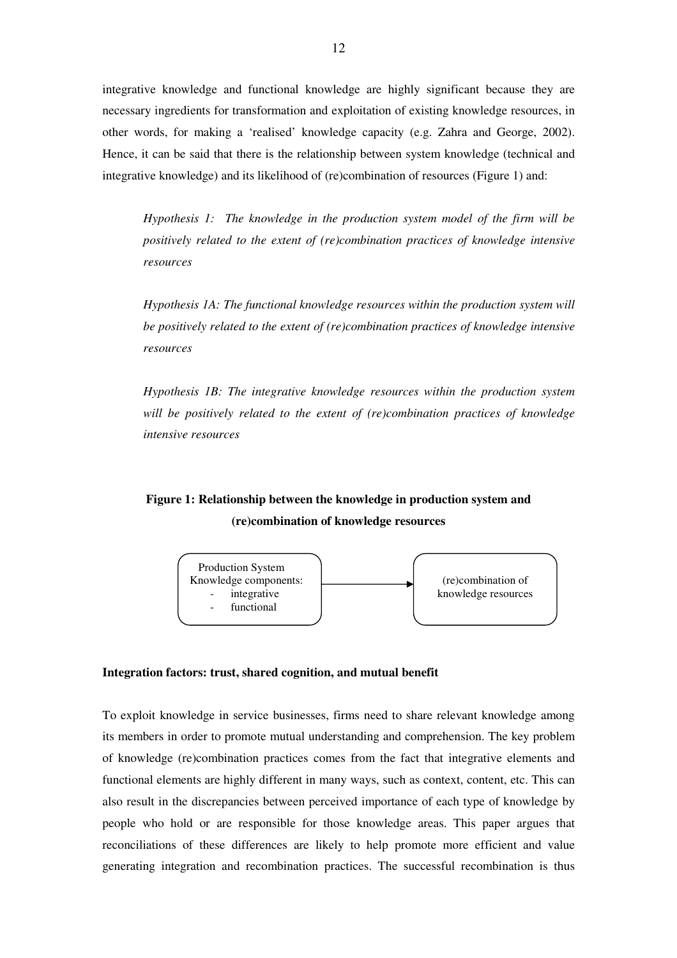integrative knowledge and functional knowledge are highly significant because they are necessary ingredients for transformation and exploitation of existing knowledge resources, in other words, for making a 'realised' knowledge capacity (e.g. Zahra and George, 2002). Hence, it can be said that there is the relationship between system knowledge (technical and integrative knowledge) and its likelihood of (re)combination of resources (Figure 1) and:

*Hypothesis 1: The knowledge in the production system model of the firm will be positively related to the extent of (re)combination practices of knowledge intensive resources* 

*Hypothesis 1A: The functional knowledge resources within the production system will be positively related to the extent of (re)combination practices of knowledge intensive resources* 

*Hypothesis 1B: The integrative knowledge resources within the production system will be positively related to the extent of (re)combination practices of knowledge intensive resources* 

# **Figure 1: Relationship between the knowledge in production system and (re)combination of knowledge resources**



# **Integration factors: trust, shared cognition, and mutual benefit**

To exploit knowledge in service businesses, firms need to share relevant knowledge among its members in order to promote mutual understanding and comprehension. The key problem of knowledge (re)combination practices comes from the fact that integrative elements and functional elements are highly different in many ways, such as context, content, etc. This can also result in the discrepancies between perceived importance of each type of knowledge by people who hold or are responsible for those knowledge areas. This paper argues that reconciliations of these differences are likely to help promote more efficient and value generating integration and recombination practices. The successful recombination is thus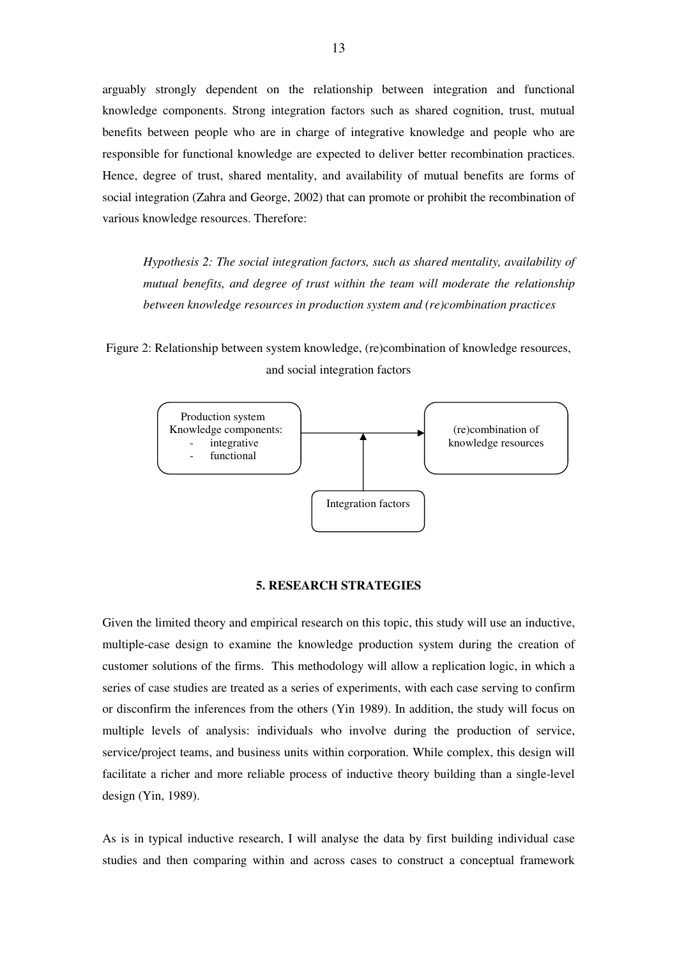arguably strongly dependent on the relationship between integration and functional knowledge components. Strong integration factors such as shared cognition, trust, mutual benefits between people who are in charge of integrative knowledge and people who are responsible for functional knowledge are expected to deliver better recombination practices. Hence, degree of trust, shared mentality, and availability of mutual benefits are forms of social integration (Zahra and George, 2002) that can promote or prohibit the recombination of various knowledge resources. Therefore:

*Hypothesis 2: The social integration factors, such as shared mentality, availability of mutual benefits, and degree of trust within the team will moderate the relationship between knowledge resources in production system and (re)combination practices* 

Figure 2: Relationship between system knowledge, (re)combination of knowledge resources, and social integration factors



# **5. RESEARCH STRATEGIES**

Given the limited theory and empirical research on this topic, this study will use an inductive, multiple-case design to examine the knowledge production system during the creation of customer solutions of the firms. This methodology will allow a replication logic, in which a series of case studies are treated as a series of experiments, with each case serving to confirm or disconfirm the inferences from the others (Yin 1989). In addition, the study will focus on multiple levels of analysis: individuals who involve during the production of service, service/project teams, and business units within corporation. While complex, this design will facilitate a richer and more reliable process of inductive theory building than a single-level design (Yin, 1989).

As is in typical inductive research, I will analyse the data by first building individual case studies and then comparing within and across cases to construct a conceptual framework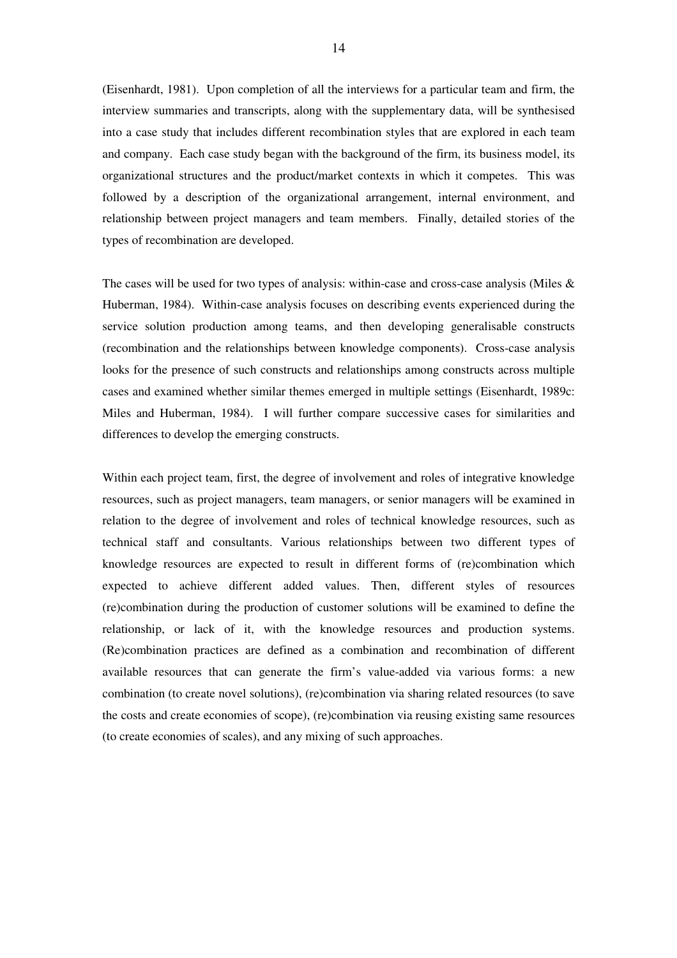(Eisenhardt, 1981). Upon completion of all the interviews for a particular team and firm, the interview summaries and transcripts, along with the supplementary data, will be synthesised into a case study that includes different recombination styles that are explored in each team and company. Each case study began with the background of the firm, its business model, its organizational structures and the product/market contexts in which it competes. This was followed by a description of the organizational arrangement, internal environment, and relationship between project managers and team members. Finally, detailed stories of the types of recombination are developed.

The cases will be used for two types of analysis: within-case and cross-case analysis (Miles  $\&$ Huberman, 1984). Within-case analysis focuses on describing events experienced during the service solution production among teams, and then developing generalisable constructs (recombination and the relationships between knowledge components). Cross-case analysis looks for the presence of such constructs and relationships among constructs across multiple cases and examined whether similar themes emerged in multiple settings (Eisenhardt, 1989c: Miles and Huberman, 1984). I will further compare successive cases for similarities and differences to develop the emerging constructs.

Within each project team, first, the degree of involvement and roles of integrative knowledge resources, such as project managers, team managers, or senior managers will be examined in relation to the degree of involvement and roles of technical knowledge resources, such as technical staff and consultants. Various relationships between two different types of knowledge resources are expected to result in different forms of (re)combination which expected to achieve different added values. Then, different styles of resources (re)combination during the production of customer solutions will be examined to define the relationship, or lack of it, with the knowledge resources and production systems. (Re)combination practices are defined as a combination and recombination of different available resources that can generate the firm's value-added via various forms: a new combination (to create novel solutions), (re)combination via sharing related resources (to save the costs and create economies of scope), (re)combination via reusing existing same resources (to create economies of scales), and any mixing of such approaches.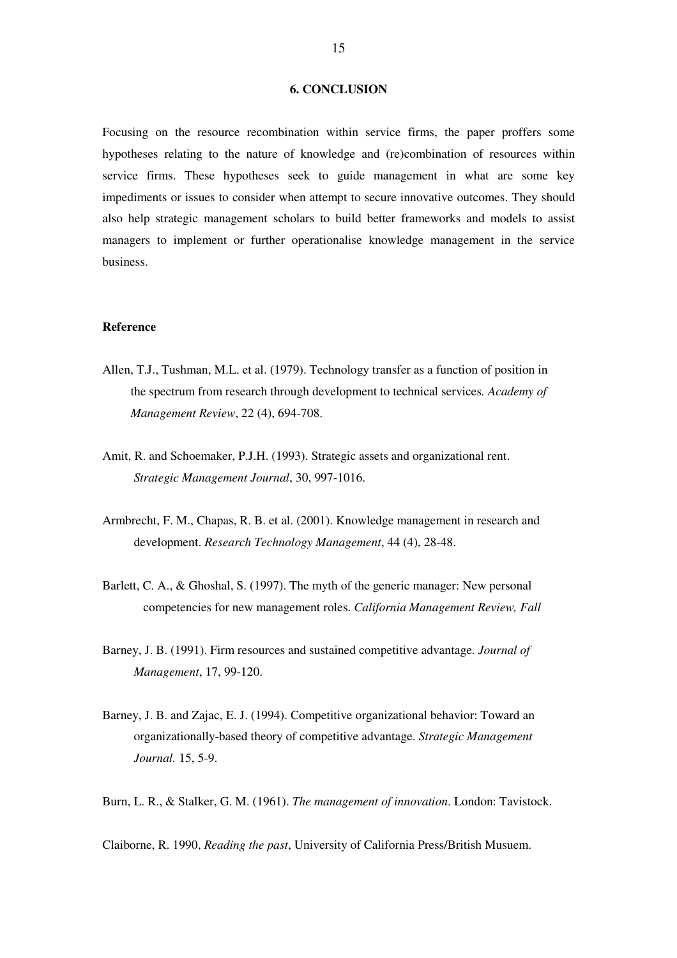#### **6. CONCLUSION**

Focusing on the resource recombination within service firms, the paper proffers some hypotheses relating to the nature of knowledge and (re)combination of resources within service firms. These hypotheses seek to guide management in what are some key impediments or issues to consider when attempt to secure innovative outcomes. They should also help strategic management scholars to build better frameworks and models to assist managers to implement or further operationalise knowledge management in the service business.

#### **Reference**

- Allen, T.J., Tushman, M.L. et al. (1979). Technology transfer as a function of position in the spectrum from research through development to technical services*. Academy of Management Review*, 22 (4), 694-708.
- Amit, R. and Schoemaker, P.J.H. (1993). Strategic assets and organizational rent. *Strategic Management Journal*, 30, 997-1016.
- Armbrecht, F. M., Chapas, R. B. et al. (2001). Knowledge management in research and development. *Research Technology Management*, 44 (4), 28-48.
- Barlett, C. A., & Ghoshal, S. (1997). The myth of the generic manager: New personal competencies for new management roles. *California Management Review, Fall*
- Barney, J. B. (1991). Firm resources and sustained competitive advantage. *Journal of Management*, 17, 99-120.
- Barney, J. B. and Zajac, E. J. (1994). Competitive organizational behavior: Toward an organizationally-based theory of competitive advantage. *Strategic Management Journal.* 15, 5-9.

Burn, L. R., & Stalker, G. M. (1961). *The management of innovation*. London: Tavistock.

Claiborne, R. 1990, *Reading the past*, University of California Press/British Musuem.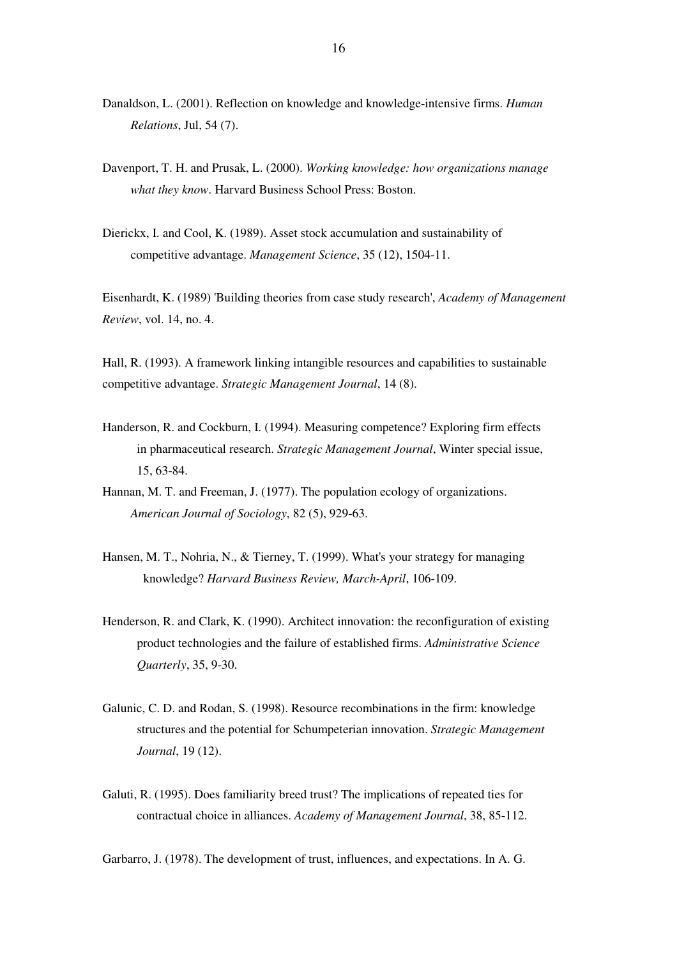- Danaldson, L. (2001). Reflection on knowledge and knowledge-intensive firms. *Human Relations*, Jul, 54 (7).
- Davenport, T. H. and Prusak, L. (2000). *Working knowledge: how organizations manage what they know*. Harvard Business School Press: Boston.
- Dierickx, I. and Cool, K. (1989). Asset stock accumulation and sustainability of competitive advantage. *Management Science*, 35 (12), 1504-11.

Eisenhardt, K. (1989) 'Building theories from case study research', *Academy of Management Review*, vol. 14, no. 4.

Hall, R. (1993). A framework linking intangible resources and capabilities to sustainable competitive advantage. *Strategic Management Journal*, 14 (8).

- Handerson, R. and Cockburn, I. (1994). Measuring competence? Exploring firm effects in pharmaceutical research. *Strategic Management Journal*, Winter special issue, 15, 63-84.
- Hannan, M. T. and Freeman, J. (1977). The population ecology of organizations. *American Journal of Sociology*, 82 (5), 929-63.
- Hansen, M. T., Nohria, N., & Tierney, T. (1999). What's your strategy for managing knowledge? *Harvard Business Review, March-April*, 106-109.
- Henderson, R. and Clark, K. (1990). Architect innovation: the reconfiguration of existing product technologies and the failure of established firms. *Administrative Science Quarterly*, 35, 9-30.
- Galunic, C. D. and Rodan, S. (1998). Resource recombinations in the firm: knowledge structures and the potential for Schumpeterian innovation. *Strategic Management Journal*, 19 (12).
- Galuti, R. (1995). Does familiarity breed trust? The implications of repeated ties for contractual choice in alliances. *Academy of Management Journal*, 38, 85-112.

Garbarro, J. (1978). The development of trust, influences, and expectations. In A. G.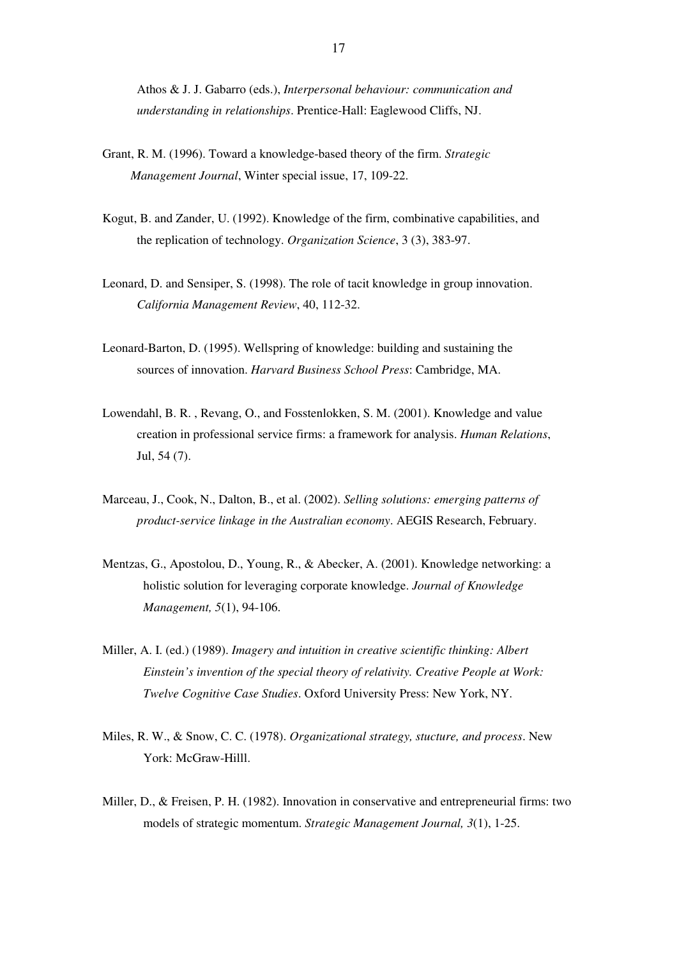Athos & J. J. Gabarro (eds.), *Interpersonal behaviour: communication and understanding in relationships*. Prentice-Hall: Eaglewood Cliffs, NJ.

- Grant, R. M. (1996). Toward a knowledge-based theory of the firm. *Strategic Management Journal*, Winter special issue, 17, 109-22.
- Kogut, B. and Zander, U. (1992). Knowledge of the firm, combinative capabilities, and the replication of technology. *Organization Science*, 3 (3), 383-97.
- Leonard, D. and Sensiper, S. (1998). The role of tacit knowledge in group innovation. *California Management Review*, 40, 112-32.
- Leonard-Barton, D. (1995). Wellspring of knowledge: building and sustaining the sources of innovation. *Harvard Business School Press*: Cambridge, MA.
- Lowendahl, B. R. , Revang, O., and Fosstenlokken, S. M. (2001). Knowledge and value creation in professional service firms: a framework for analysis. *Human Relations*, Jul, 54 (7).
- Marceau, J., Cook, N., Dalton, B., et al. (2002). *Selling solutions: emerging patterns of product-service linkage in the Australian economy*. AEGIS Research, February.
- Mentzas, G., Apostolou, D., Young, R., & Abecker, A. (2001). Knowledge networking: a holistic solution for leveraging corporate knowledge. *Journal of Knowledge Management, 5*(1), 94-106.
- Miller, A. I. (ed.) (1989). *Imagery and intuition in creative scientific thinking: Albert Einstein's invention of the special theory of relativity. Creative People at Work: Twelve Cognitive Case Studies*. Oxford University Press: New York, NY.
- Miles, R. W., & Snow, C. C. (1978). *Organizational strategy, stucture, and process*. New York: McGraw-Hilll.
- Miller, D., & Freisen, P. H. (1982). Innovation in conservative and entrepreneurial firms: two models of strategic momentum. *Strategic Management Journal, 3*(1), 1-25.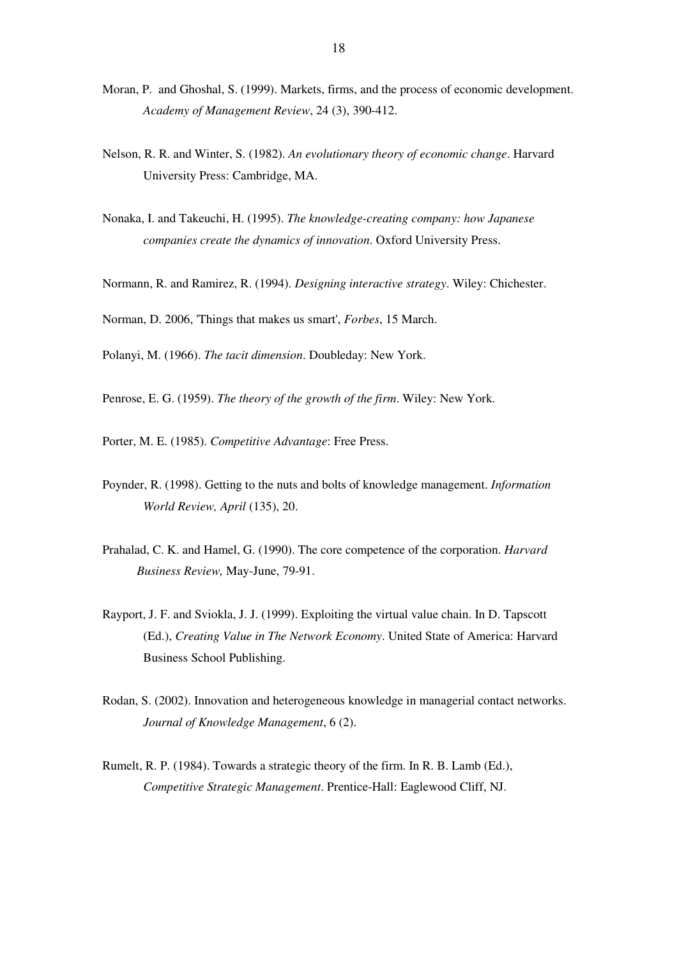- Moran, P. and Ghoshal, S. (1999). Markets, firms, and the process of economic development. *Academy of Management Review*, 24 (3), 390-412.
- Nelson, R. R. and Winter, S. (1982). *An evolutionary theory of economic change*. Harvard University Press: Cambridge, MA.
- Nonaka, I. and Takeuchi, H. (1995). *The knowledge-creating company: how Japanese companies create the dynamics of innovation*. Oxford University Press.
- Normann, R. and Ramirez, R. (1994). *Designing interactive strategy*. Wiley: Chichester.
- Norman, D. 2006, 'Things that makes us smart', *Forbes*, 15 March.
- Polanyi, M. (1966). *The tacit dimension*. Doubleday: New York.
- Penrose, E. G. (1959). *The theory of the growth of the firm*. Wiley: New York.
- Porter, M. E. (1985). *Competitive Advantage*: Free Press.
- Poynder, R. (1998). Getting to the nuts and bolts of knowledge management. *Information World Review, April* (135), 20.
- Prahalad, C. K. and Hamel, G. (1990). The core competence of the corporation. *Harvard Business Review,* May-June, 79-91.
- Rayport, J. F. and Sviokla, J. J. (1999). Exploiting the virtual value chain. In D. Tapscott (Ed.), *Creating Value in The Network Economy*. United State of America: Harvard Business School Publishing.
- Rodan, S. (2002). Innovation and heterogeneous knowledge in managerial contact networks. *Journal of Knowledge Management*, 6 (2).
- Rumelt, R. P. (1984). Towards a strategic theory of the firm. In R. B. Lamb (Ed.), *Competitive Strategic Management*. Prentice-Hall: Eaglewood Cliff, NJ.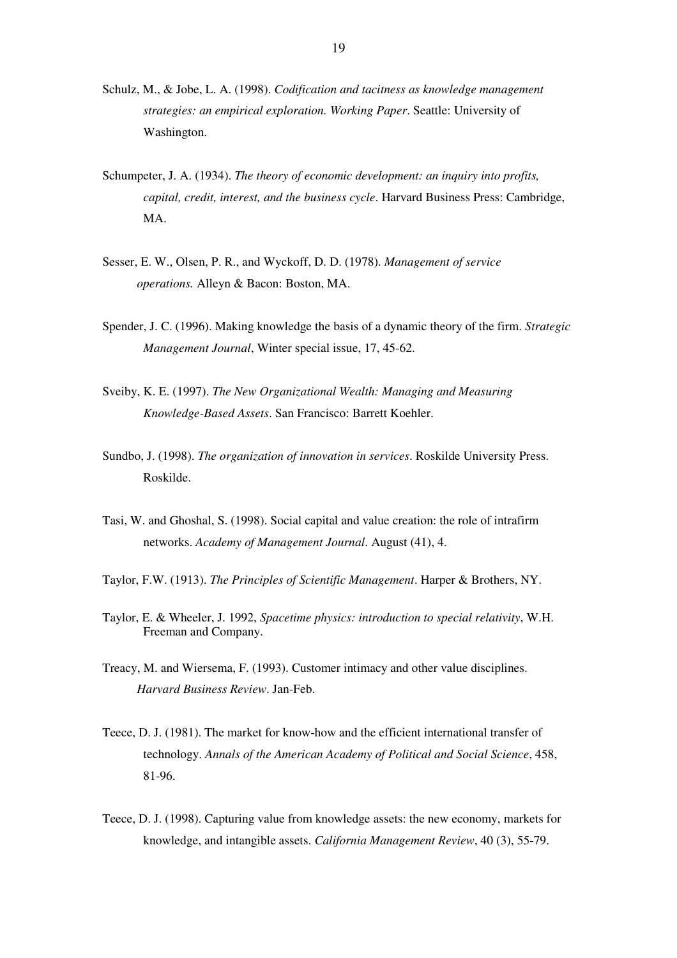- Schulz, M., & Jobe, L. A. (1998). *Codification and tacitness as knowledge management strategies: an empirical exploration. Working Paper*. Seattle: University of Washington.
- Schumpeter, J. A. (1934). *The theory of economic development: an inquiry into profits, capital, credit, interest, and the business cycle*. Harvard Business Press: Cambridge, MA.
- Sesser, E. W., Olsen, P. R., and Wyckoff, D. D. (1978). *Management of service operations.* Alleyn & Bacon: Boston, MA.
- Spender, J. C. (1996). Making knowledge the basis of a dynamic theory of the firm. *Strategic Management Journal*, Winter special issue, 17, 45-62.
- Sveiby, K. E. (1997). *The New Organizational Wealth: Managing and Measuring Knowledge-Based Assets*. San Francisco: Barrett Koehler.
- Sundbo, J. (1998). *The organization of innovation in services*. Roskilde University Press. Roskilde.
- Tasi, W. and Ghoshal, S. (1998). Social capital and value creation: the role of intrafirm networks. *Academy of Management Journal*. August (41), 4.
- Taylor, F.W. (1913). *The Principles of Scientific Management*. Harper & Brothers, NY.
- Taylor, E. & Wheeler, J. 1992, *Spacetime physics: introduction to special relativity*, W.H. Freeman and Company.
- Treacy, M. and Wiersema, F. (1993). Customer intimacy and other value disciplines. *Harvard Business Review*. Jan-Feb.
- Teece, D. J. (1981). The market for know-how and the efficient international transfer of technology. *Annals of the American Academy of Political and Social Science*, 458, 81-96.
- Teece, D. J. (1998). Capturing value from knowledge assets: the new economy, markets for knowledge, and intangible assets. *California Management Review*, 40 (3), 55-79.